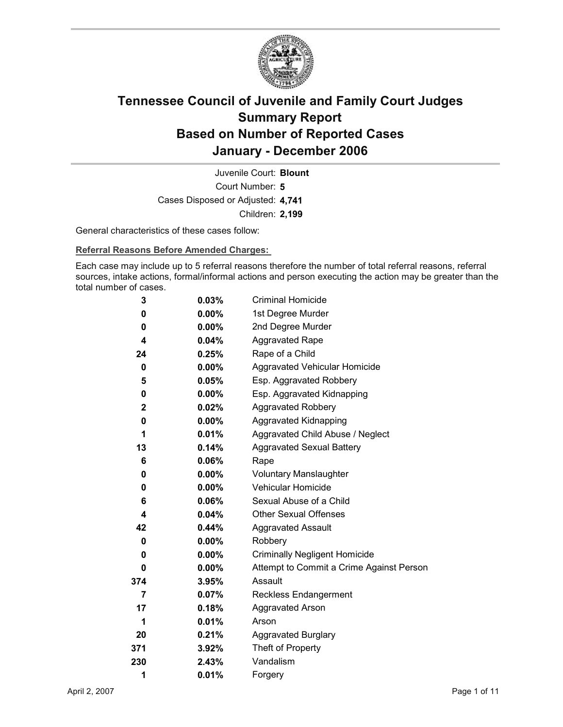

Court Number: **5** Juvenile Court: **Blount** Cases Disposed or Adjusted: **4,741** Children: **2,199**

General characteristics of these cases follow:

**Referral Reasons Before Amended Charges:** 

Each case may include up to 5 referral reasons therefore the number of total referral reasons, referral sources, intake actions, formal/informal actions and person executing the action may be greater than the total number of cases.

| 3   | 0.03%    | <b>Criminal Homicide</b>                 |  |
|-----|----------|------------------------------------------|--|
| 0   | $0.00\%$ | 1st Degree Murder                        |  |
| 0   | $0.00\%$ | 2nd Degree Murder                        |  |
| 4   | 0.04%    | <b>Aggravated Rape</b>                   |  |
| 24  | 0.25%    | Rape of a Child                          |  |
| 0   | $0.00\%$ | Aggravated Vehicular Homicide            |  |
| 5   | 0.05%    | Esp. Aggravated Robbery                  |  |
| 0   | $0.00\%$ | Esp. Aggravated Kidnapping               |  |
| 2   | $0.02\%$ | <b>Aggravated Robbery</b>                |  |
| 0   | $0.00\%$ | Aggravated Kidnapping                    |  |
| 1   | 0.01%    | Aggravated Child Abuse / Neglect         |  |
| 13  | 0.14%    | <b>Aggravated Sexual Battery</b>         |  |
| 6   | 0.06%    | Rape                                     |  |
| 0   | $0.00\%$ | <b>Voluntary Manslaughter</b>            |  |
| 0   | $0.00\%$ | <b>Vehicular Homicide</b>                |  |
| 6   | 0.06%    | Sexual Abuse of a Child                  |  |
| 4   | 0.04%    | <b>Other Sexual Offenses</b>             |  |
| 42  | 0.44%    | <b>Aggravated Assault</b>                |  |
| 0   | 0.00%    | Robbery                                  |  |
| 0   | $0.00\%$ | <b>Criminally Negligent Homicide</b>     |  |
| 0   | $0.00\%$ | Attempt to Commit a Crime Against Person |  |
| 374 | 3.95%    | Assault                                  |  |
| 7   | 0.07%    | <b>Reckless Endangerment</b>             |  |
| 17  | 0.18%    | <b>Aggravated Arson</b>                  |  |
| 1   | 0.01%    | Arson                                    |  |
| 20  | 0.21%    | <b>Aggravated Burglary</b>               |  |
| 371 | 3.92%    | Theft of Property                        |  |
| 230 | 2.43%    | Vandalism                                |  |
| 1   | 0.01%    | Forgery                                  |  |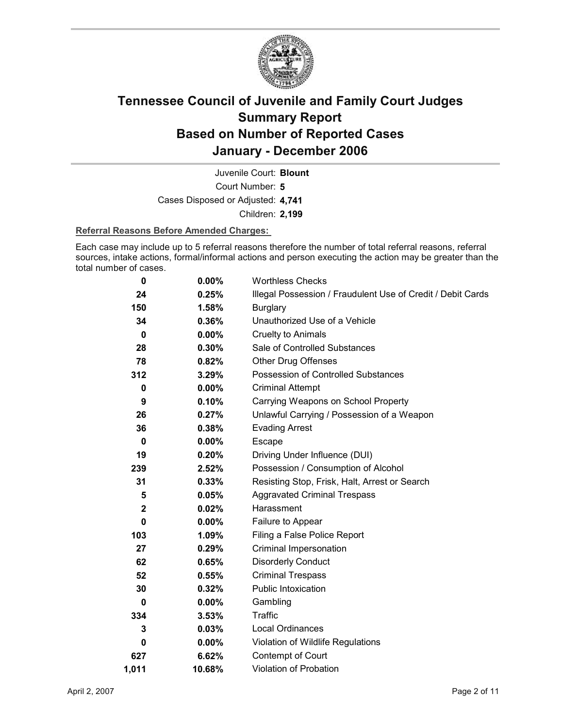

Court Number: **5** Juvenile Court: **Blount** Cases Disposed or Adjusted: **4,741** Children: **2,199**

#### **Referral Reasons Before Amended Charges:**

Each case may include up to 5 referral reasons therefore the number of total referral reasons, referral sources, intake actions, formal/informal actions and person executing the action may be greater than the total number of cases.

| 0           | $0.00\%$ | <b>Worthless Checks</b>                                     |
|-------------|----------|-------------------------------------------------------------|
| 24          | 0.25%    | Illegal Possession / Fraudulent Use of Credit / Debit Cards |
| 150         | 1.58%    | Burglary                                                    |
| 34          | $0.36\%$ | Unauthorized Use of a Vehicle                               |
| $\bf{0}$    | $0.00\%$ | <b>Cruelty to Animals</b>                                   |
| 28          | $0.30\%$ | Sale of Controlled Substances                               |
| 78          | 0.82%    | <b>Other Drug Offenses</b>                                  |
| 312         | 3.29%    | Possession of Controlled Substances                         |
| 0           | $0.00\%$ | <b>Criminal Attempt</b>                                     |
| 9           | 0.10%    | Carrying Weapons on School Property                         |
| 26          | 0.27%    | Unlawful Carrying / Possession of a Weapon                  |
| 36          | 0.38%    | <b>Evading Arrest</b>                                       |
| 0           | $0.00\%$ | <b>Escape</b>                                               |
| 19          | 0.20%    | Driving Under Influence (DUI)                               |
| 239         | 2.52%    | Possession / Consumption of Alcohol                         |
| 31          | 0.33%    | Resisting Stop, Frisk, Halt, Arrest or Search               |
| 5           | 0.05%    | <b>Aggravated Criminal Trespass</b>                         |
| $\mathbf 2$ | 0.02%    | Harassment                                                  |
| 0           | $0.00\%$ | Failure to Appear                                           |
| 103         | 1.09%    | Filing a False Police Report                                |
| 27          | 0.29%    | Criminal Impersonation                                      |
| 62          | 0.65%    | <b>Disorderly Conduct</b>                                   |
| 52          | 0.55%    | <b>Criminal Trespass</b>                                    |
| 30          | 0.32%    | <b>Public Intoxication</b>                                  |
| 0           | $0.00\%$ | Gambling                                                    |
| 334         | 3.53%    | Traffic                                                     |
| 3           | 0.03%    | <b>Local Ordinances</b>                                     |
| 0           | $0.00\%$ | Violation of Wildlife Regulations                           |
| 627         | 6.62%    | Contempt of Court                                           |
| 1,011       | 10.68%   | Violation of Probation                                      |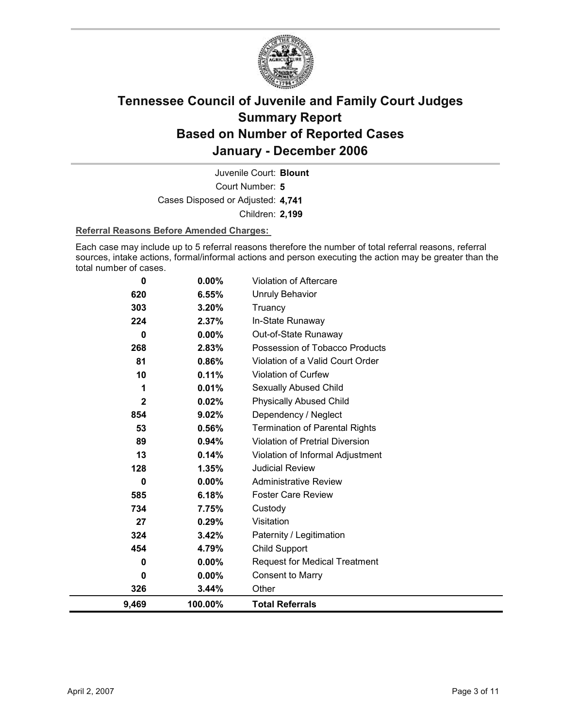

Court Number: **5** Juvenile Court: **Blount** Cases Disposed or Adjusted: **4,741** Children: **2,199**

#### **Referral Reasons Before Amended Charges:**

Each case may include up to 5 referral reasons therefore the number of total referral reasons, referral sources, intake actions, formal/informal actions and person executing the action may be greater than the total number of cases.

| 0              | 0.00%    | Violation of Aftercare                 |
|----------------|----------|----------------------------------------|
| 620            | 6.55%    | <b>Unruly Behavior</b>                 |
| 303            | 3.20%    | Truancy                                |
| 224            | 2.37%    | In-State Runaway                       |
| 0              | $0.00\%$ | Out-of-State Runaway                   |
| 268            | 2.83%    | Possession of Tobacco Products         |
| 81             | 0.86%    | Violation of a Valid Court Order       |
| 10             | 0.11%    | Violation of Curfew                    |
| 1              | 0.01%    | Sexually Abused Child                  |
| $\overline{2}$ | 0.02%    | <b>Physically Abused Child</b>         |
| 854            | 9.02%    | Dependency / Neglect                   |
| 53             | 0.56%    | <b>Termination of Parental Rights</b>  |
| 89             | 0.94%    | <b>Violation of Pretrial Diversion</b> |
| 13             | 0.14%    | Violation of Informal Adjustment       |
| 128            | 1.35%    | <b>Judicial Review</b>                 |
| $\bf{0}$       | 0.00%    | <b>Administrative Review</b>           |
| 585            | 6.18%    | <b>Foster Care Review</b>              |
| 734            | 7.75%    | Custody                                |
| 27             | 0.29%    | Visitation                             |
| 324            | 3.42%    | Paternity / Legitimation               |
| 454            | 4.79%    | Child Support                          |
| 0              | $0.00\%$ | <b>Request for Medical Treatment</b>   |
| 0              | $0.00\%$ | <b>Consent to Marry</b>                |
| 326            | 3.44%    | Other                                  |
| 9,469          | 100.00%  | <b>Total Referrals</b>                 |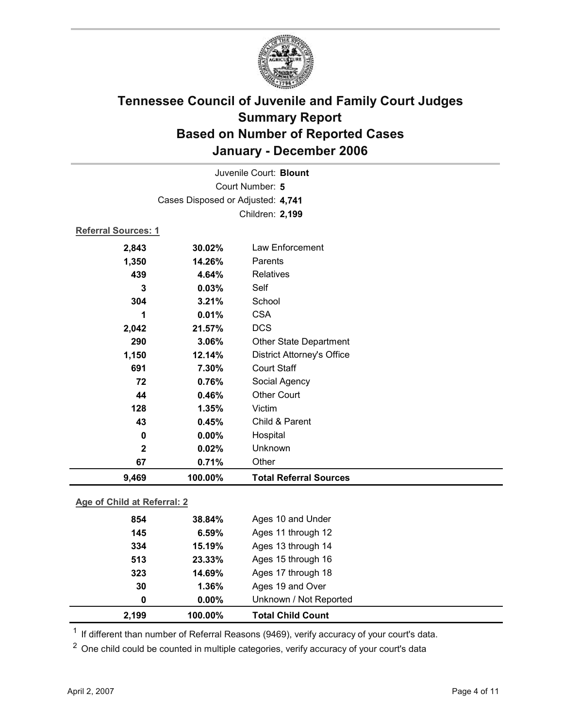

| Juvenile Court: Blount       |                                   |                                   |  |  |
|------------------------------|-----------------------------------|-----------------------------------|--|--|
|                              | Court Number: 5                   |                                   |  |  |
|                              | Cases Disposed or Adjusted: 4,741 |                                   |  |  |
|                              |                                   | Children: 2,199                   |  |  |
| Referral Sources: 1          |                                   |                                   |  |  |
| 2,843                        | 30.02%                            | Law Enforcement                   |  |  |
| 1,350                        | 14.26%                            | Parents                           |  |  |
| 439                          | 4.64%                             | <b>Relatives</b>                  |  |  |
| 3                            | 0.03%                             | Self                              |  |  |
| 304                          | 3.21%                             | School                            |  |  |
| 1                            | 0.01%                             | <b>CSA</b>                        |  |  |
| 2,042                        | 21.57%                            | <b>DCS</b>                        |  |  |
| 290                          | 3.06%                             | Other State Department            |  |  |
| 1,150                        | 12.14%                            | <b>District Attorney's Office</b> |  |  |
| 691                          | 7.30%                             | <b>Court Staff</b>                |  |  |
| 72                           | 0.76%                             | Social Agency                     |  |  |
| 44                           | 0.46%                             | <b>Other Court</b>                |  |  |
| 128                          | 1.35%                             | Victim                            |  |  |
| 43                           | 0.45%                             | Child & Parent                    |  |  |
| 0                            | $0.00\%$                          | Hospital                          |  |  |
| $\mathbf{2}$                 | 0.02%                             | Unknown                           |  |  |
| 67                           | 0.71%                             | Other                             |  |  |
| 9,469                        | 100.00%                           | <b>Total Referral Sources</b>     |  |  |
| Age of Child of Deferred 1.2 |                                   |                                   |  |  |

#### **Age of Child at Referral: 2**

| 2,199 | 100.00%       | <b>Total Child Count</b> |
|-------|---------------|--------------------------|
|       | $0.00\%$<br>0 | Unknown / Not Reported   |
|       | 1.36%<br>30   | Ages 19 and Over         |
|       | 14.69%<br>323 | Ages 17 through 18       |
|       | 23.33%<br>513 | Ages 15 through 16       |
|       | 15.19%<br>334 | Ages 13 through 14       |
|       | 145<br>6.59%  | Ages 11 through 12       |
|       | 38.84%<br>854 | Ages 10 and Under        |
|       |               |                          |

 $1$  If different than number of Referral Reasons (9469), verify accuracy of your court's data.

<sup>2</sup> One child could be counted in multiple categories, verify accuracy of your court's data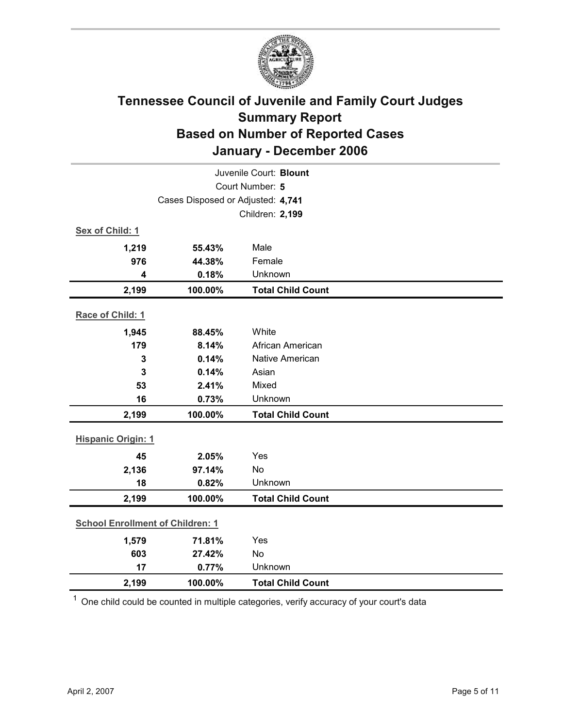

| Juvenile Court: Blount                  |                                   |                          |  |  |
|-----------------------------------------|-----------------------------------|--------------------------|--|--|
| Court Number: 5                         |                                   |                          |  |  |
|                                         | Cases Disposed or Adjusted: 4,741 |                          |  |  |
|                                         |                                   | Children: 2,199          |  |  |
| Sex of Child: 1                         |                                   |                          |  |  |
| 1,219                                   | 55.43%                            | Male                     |  |  |
| 976                                     | 44.38%                            | Female                   |  |  |
| $\overline{\mathbf{4}}$                 | 0.18%                             | Unknown                  |  |  |
| 2,199                                   | 100.00%                           | <b>Total Child Count</b> |  |  |
| Race of Child: 1                        |                                   |                          |  |  |
| 1,945                                   | 88.45%                            | White                    |  |  |
| 179                                     | 8.14%                             | African American         |  |  |
| 3                                       | 0.14%                             | <b>Native American</b>   |  |  |
| 3                                       | 0.14%                             | Asian                    |  |  |
| 53                                      | 2.41%                             | Mixed                    |  |  |
| 16                                      | 0.73%                             | Unknown                  |  |  |
| 2,199                                   | 100.00%                           | <b>Total Child Count</b> |  |  |
| <b>Hispanic Origin: 1</b>               |                                   |                          |  |  |
| 45                                      | 2.05%                             | Yes                      |  |  |
| 2,136                                   | 97.14%                            | No                       |  |  |
| 18                                      | 0.82%                             | Unknown                  |  |  |
| 2,199                                   | 100.00%                           | <b>Total Child Count</b> |  |  |
| <b>School Enrollment of Children: 1</b> |                                   |                          |  |  |
| 1,579                                   | 71.81%                            | Yes                      |  |  |
| 603                                     | 27.42%                            | No                       |  |  |
| 17                                      | 0.77%                             | Unknown                  |  |  |
| 2,199                                   | 100.00%                           | <b>Total Child Count</b> |  |  |

 $1$  One child could be counted in multiple categories, verify accuracy of your court's data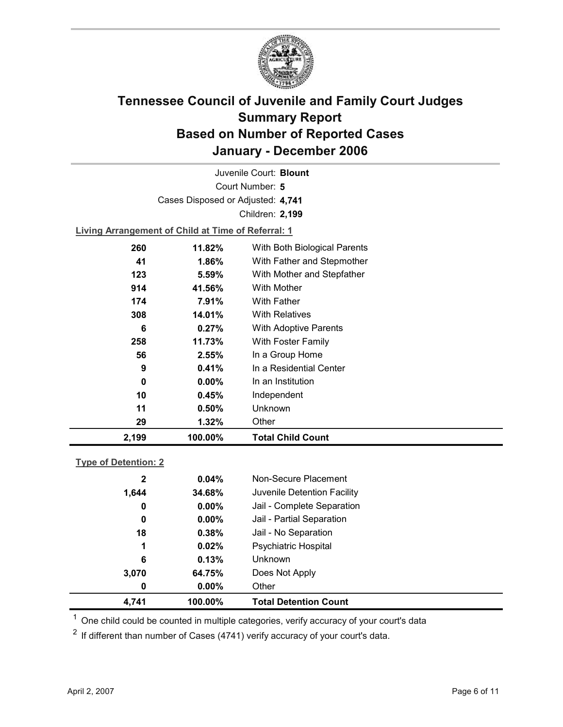

Court Number: **5** Juvenile Court: **Blount** Cases Disposed or Adjusted: **4,741** Children: **2,199**

**Living Arrangement of Child at Time of Referral: 1**

| 2,199 | 100.00%  | <b>Total Child Count</b>     |
|-------|----------|------------------------------|
| 29    | 1.32%    | Other                        |
| 11    | 0.50%    | Unknown                      |
| 10    | 0.45%    | Independent                  |
| 0     | $0.00\%$ | In an Institution            |
| 9     | 0.41%    | In a Residential Center      |
| 56    | 2.55%    | In a Group Home              |
| 258   | 11.73%   | With Foster Family           |
| 6     | $0.27\%$ | <b>With Adoptive Parents</b> |
| 308   | 14.01%   | <b>With Relatives</b>        |
| 174   | 7.91%    | With Father                  |
| 914   | 41.56%   | With Mother                  |
| 123   | 5.59%    | With Mother and Stepfather   |
| 41    | 1.86%    | With Father and Stepmother   |
| 260   | 11.82%   | With Both Biological Parents |
|       |          |                              |

#### **Type of Detention: 2**

| 4.741        | 100.00%  | <b>Total Detention Count</b> |
|--------------|----------|------------------------------|
| 0            | $0.00\%$ | Other                        |
| 3,070        | 64.75%   | Does Not Apply               |
| 6            | 0.13%    | <b>Unknown</b>               |
| 1            | 0.02%    | <b>Psychiatric Hospital</b>  |
| 18           | 0.38%    | Jail - No Separation         |
| 0            | $0.00\%$ | Jail - Partial Separation    |
| 0            | $0.00\%$ | Jail - Complete Separation   |
| 1,644        | 34.68%   | Juvenile Detention Facility  |
| $\mathbf{2}$ | 0.04%    | Non-Secure Placement         |
|              |          |                              |

 $<sup>1</sup>$  One child could be counted in multiple categories, verify accuracy of your court's data</sup>

 $2$  If different than number of Cases (4741) verify accuracy of your court's data.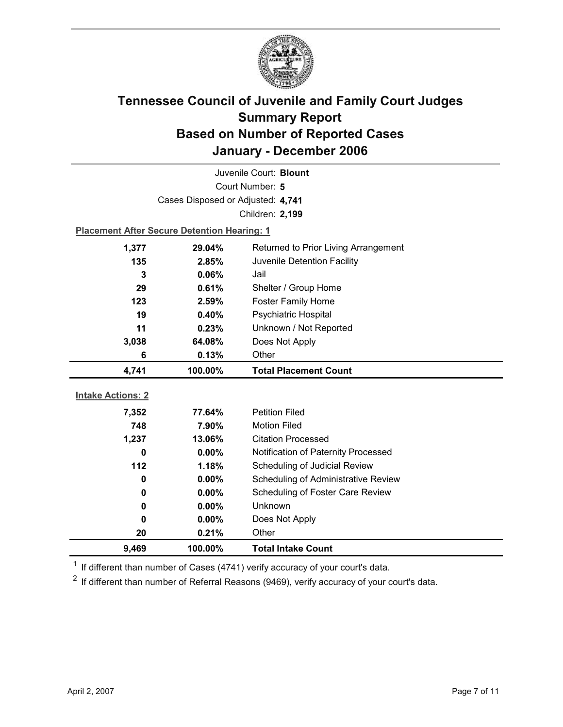

| Juvenile Court: Blount   |                                                    |                                      |  |  |
|--------------------------|----------------------------------------------------|--------------------------------------|--|--|
|                          | Court Number: 5                                    |                                      |  |  |
|                          | Cases Disposed or Adjusted: 4,741                  |                                      |  |  |
|                          |                                                    | Children: 2,199                      |  |  |
|                          | <b>Placement After Secure Detention Hearing: 1</b> |                                      |  |  |
| 1,377                    | 29.04%                                             | Returned to Prior Living Arrangement |  |  |
| 135                      | 2.85%                                              | Juvenile Detention Facility          |  |  |
| 3                        | 0.06%                                              | Jail                                 |  |  |
| 29                       | Shelter / Group Home<br>0.61%                      |                                      |  |  |
| 123                      | <b>Foster Family Home</b><br>2.59%                 |                                      |  |  |
| 19                       | Psychiatric Hospital<br>0.40%                      |                                      |  |  |
| 11                       | Unknown / Not Reported<br>0.23%                    |                                      |  |  |
| 3,038                    | 64.08%                                             | Does Not Apply                       |  |  |
| 6                        | 0.13%                                              | Other                                |  |  |
|                          |                                                    |                                      |  |  |
| 4,741                    | 100.00%                                            | <b>Total Placement Count</b>         |  |  |
|                          |                                                    |                                      |  |  |
| <b>Intake Actions: 2</b> |                                                    |                                      |  |  |
| 7,352                    | 77.64%                                             | <b>Petition Filed</b>                |  |  |
| 748                      | 7.90%                                              | <b>Motion Filed</b>                  |  |  |
| 1,237                    | 13.06%                                             | <b>Citation Processed</b>            |  |  |
| $\bf{0}$                 | $0.00\%$                                           | Notification of Paternity Processed  |  |  |
| 112                      | 1.18%                                              | Scheduling of Judicial Review        |  |  |
| $\bf{0}$                 | $0.00\%$                                           | Scheduling of Administrative Review  |  |  |
| $\bf{0}$                 | 0.00%                                              | Scheduling of Foster Care Review     |  |  |
| 0                        | $0.00\%$                                           | Unknown                              |  |  |
| 0                        | 0.00%                                              | Does Not Apply                       |  |  |
| 20                       | 0.21%                                              | Other                                |  |  |

 $1$  If different than number of Cases (4741) verify accuracy of your court's data.

 $2$  If different than number of Referral Reasons (9469), verify accuracy of your court's data.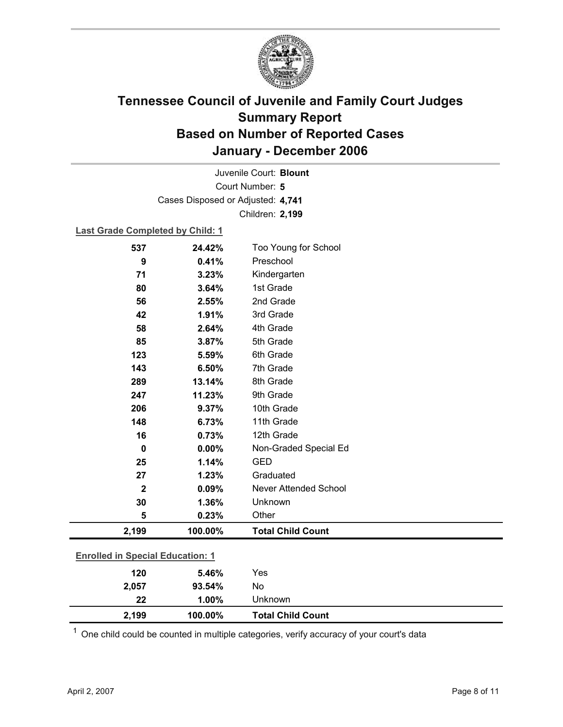

Court Number: **5** Juvenile Court: **Blount** Cases Disposed or Adjusted: **4,741** Children: **2,199**

#### **Last Grade Completed by Child: 1**

| 537                                     | 24.42%  | Too Young for School     |
|-----------------------------------------|---------|--------------------------|
| 9                                       | 0.41%   | Preschool                |
| 71                                      | 3.23%   | Kindergarten             |
| 80                                      | 3.64%   | 1st Grade                |
| 56                                      | 2.55%   | 2nd Grade                |
| 42                                      | 1.91%   | 3rd Grade                |
| 58                                      | 2.64%   | 4th Grade                |
| 85                                      | 3.87%   | 5th Grade                |
| 123                                     | 5.59%   | 6th Grade                |
| 143                                     | 6.50%   | 7th Grade                |
| 289                                     | 13.14%  | 8th Grade                |
| 247                                     | 11.23%  | 9th Grade                |
| 206                                     | 9.37%   | 10th Grade               |
| 148                                     | 6.73%   | 11th Grade               |
| 16                                      | 0.73%   | 12th Grade               |
| $\mathbf 0$                             | 0.00%   | Non-Graded Special Ed    |
| 25                                      | 1.14%   | <b>GED</b>               |
| 27                                      | 1.23%   | Graduated                |
| $\overline{\mathbf{2}}$                 | 0.09%   | Never Attended School    |
| 30                                      | 1.36%   | Unknown                  |
| 5                                       | 0.23%   | Other                    |
| 2,199                                   | 100.00% | <b>Total Child Count</b> |
|                                         |         |                          |
| <b>Enrolled in Special Education: 1</b> |         |                          |
| 120                                     | 5.46%   | Yes                      |
| 2,057                                   | 93.54%  | No                       |

 $1$  One child could be counted in multiple categories, verify accuracy of your court's data

**22 1.00%** Unknown

**2,199 100.00% Total Child Count**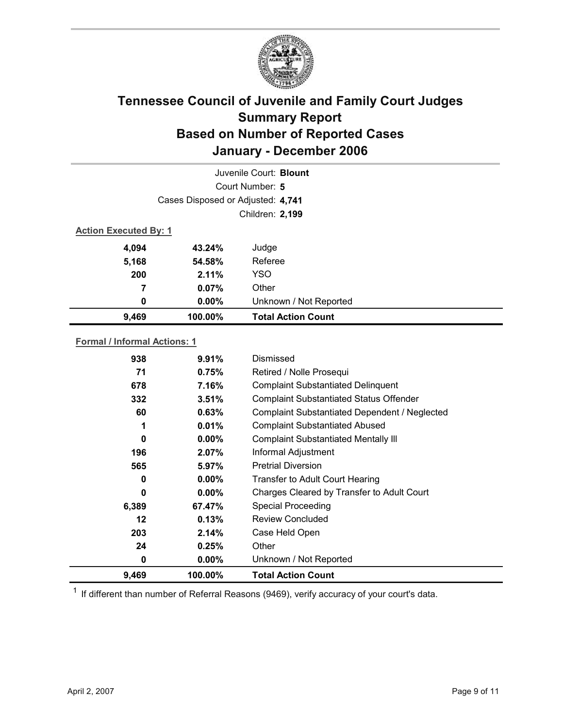

|                                                                                               |                                   | Juvenile Court: Blount    |  |
|-----------------------------------------------------------------------------------------------|-----------------------------------|---------------------------|--|
|                                                                                               |                                   | Court Number: 5           |  |
|                                                                                               | Cases Disposed or Adjusted: 4,741 |                           |  |
|                                                                                               | Children: 2,199                   |                           |  |
| <b>Action Executed By: 1</b>                                                                  |                                   |                           |  |
| 4,094                                                                                         | 43.24%                            | Judge                     |  |
| 5,168                                                                                         | 54.58%                            | Referee                   |  |
| 200                                                                                           | 2.11%                             | <b>YSO</b>                |  |
| 7                                                                                             | 0.07%                             | Other                     |  |
| 0                                                                                             | $0.00\%$                          | Unknown / Not Reported    |  |
| 9,469                                                                                         | 100.00%                           | <b>Total Action Count</b> |  |
| <b>Formal / Informal Actions: 1</b><br>$\mathbf{r}$<br>$\sim$ $\sim$ $\sim$ $\sim$<br>$- - -$ |                                   |                           |  |

| 938   | 9.91%    | Dismissed                                      |
|-------|----------|------------------------------------------------|
| 71    | 0.75%    | Retired / Nolle Prosequi                       |
| 678   | 7.16%    | <b>Complaint Substantiated Delinquent</b>      |
| 332   | 3.51%    | <b>Complaint Substantiated Status Offender</b> |
| 60    | 0.63%    | Complaint Substantiated Dependent / Neglected  |
| 1     | 0.01%    | <b>Complaint Substantiated Abused</b>          |
| 0     | $0.00\%$ | <b>Complaint Substantiated Mentally III</b>    |
| 196   | 2.07%    | Informal Adjustment                            |
| 565   | $5.97\%$ | <b>Pretrial Diversion</b>                      |
| 0     | $0.00\%$ | Transfer to Adult Court Hearing                |
| 0     | $0.00\%$ | Charges Cleared by Transfer to Adult Court     |
| 6,389 | 67.47%   | <b>Special Proceeding</b>                      |
| 12    | 0.13%    | <b>Review Concluded</b>                        |
| 203   | 2.14%    | Case Held Open                                 |
| 24    | 0.25%    | Other                                          |
| 0     | $0.00\%$ | Unknown / Not Reported                         |
| 9,469 | 100.00%  | <b>Total Action Count</b>                      |

 $1$  If different than number of Referral Reasons (9469), verify accuracy of your court's data.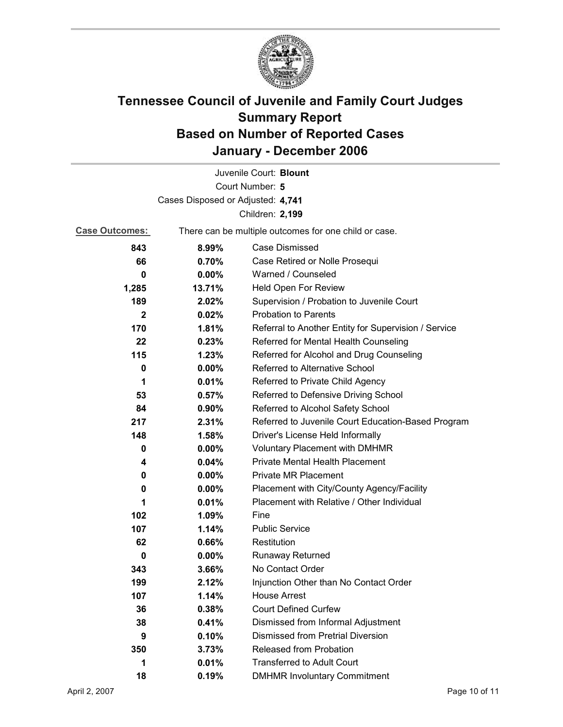

| Juvenile Court: Blount            |                                                       |                                                      |  |  |
|-----------------------------------|-------------------------------------------------------|------------------------------------------------------|--|--|
| Court Number: 5                   |                                                       |                                                      |  |  |
| Cases Disposed or Adjusted: 4,741 |                                                       |                                                      |  |  |
| Children: 2,199                   |                                                       |                                                      |  |  |
| <b>Case Outcomes:</b>             | There can be multiple outcomes for one child or case. |                                                      |  |  |
| 843                               | 8.99%                                                 | <b>Case Dismissed</b>                                |  |  |
| 66                                | 0.70%                                                 | Case Retired or Nolle Prosequi                       |  |  |
| 0                                 | 0.00%                                                 | Warned / Counseled                                   |  |  |
| 1,285                             | 13.71%                                                | Held Open For Review                                 |  |  |
| 189                               | 2.02%                                                 | Supervision / Probation to Juvenile Court            |  |  |
| $\mathbf{2}$                      | 0.02%                                                 | <b>Probation to Parents</b>                          |  |  |
| 170                               | 1.81%                                                 | Referral to Another Entity for Supervision / Service |  |  |
| 22                                | 0.23%                                                 | Referred for Mental Health Counseling                |  |  |
| 115                               | 1.23%                                                 | Referred for Alcohol and Drug Counseling             |  |  |
| 0                                 | $0.00\%$                                              | Referred to Alternative School                       |  |  |
| 1                                 | 0.01%                                                 | Referred to Private Child Agency                     |  |  |
| 53                                | $0.57\%$                                              | Referred to Defensive Driving School                 |  |  |
| 84                                | $0.90\%$                                              | Referred to Alcohol Safety School                    |  |  |
| 217                               | 2.31%                                                 | Referred to Juvenile Court Education-Based Program   |  |  |
| 148                               | 1.58%                                                 | Driver's License Held Informally                     |  |  |
| 0                                 | $0.00\%$                                              | <b>Voluntary Placement with DMHMR</b>                |  |  |
| 4                                 | 0.04%                                                 | <b>Private Mental Health Placement</b>               |  |  |
| 0                                 | $0.00\%$                                              | <b>Private MR Placement</b>                          |  |  |
| 0                                 | $0.00\%$                                              | Placement with City/County Agency/Facility           |  |  |
| 1                                 | 0.01%                                                 | Placement with Relative / Other Individual           |  |  |
| 102                               | 1.09%                                                 | Fine                                                 |  |  |
| 107                               | 1.14%                                                 | <b>Public Service</b>                                |  |  |
| 62                                | 0.66%                                                 | Restitution                                          |  |  |
| 0                                 | $0.00\%$                                              | <b>Runaway Returned</b>                              |  |  |
| 343                               | 3.66%                                                 | No Contact Order                                     |  |  |
| 199                               | 2.12%                                                 | Injunction Other than No Contact Order               |  |  |
| 107                               | 1.14%                                                 | <b>House Arrest</b>                                  |  |  |
| 36                                | 0.38%                                                 | <b>Court Defined Curfew</b>                          |  |  |
| 38                                | 0.41%                                                 | Dismissed from Informal Adjustment                   |  |  |
| 9                                 | 0.10%                                                 | <b>Dismissed from Pretrial Diversion</b>             |  |  |
| 350                               | 3.73%                                                 | Released from Probation                              |  |  |
| 1                                 | 0.01%                                                 | <b>Transferred to Adult Court</b>                    |  |  |
| 18                                | 0.19%                                                 | <b>DMHMR Involuntary Commitment</b>                  |  |  |